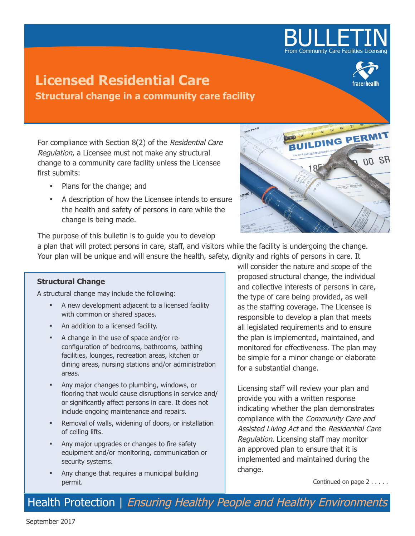

# **Licensed Residential Care Structural change in a community care facility**



For compliance with Section 8(2) of the Residential Care Regulation, a Licensee must not make any structural change to a community care facility unless the Licensee first submits:

- **▪** Plans for the change; and
- **▪** A description of how the Licensee intends to ensure the health and safety of persons in care while the change is being made.



The purpose of this bulletin is to guide you to develop

a plan that will protect persons in care, staff, and visitors while the facility is undergoing the change. Your plan will be unique and will ensure the health, safety, dignity and rights of persons in care. It

# **Structural Change**

A structural change may include the following:

- A new development adjacent to a licensed facility with common or shared spaces.
- **▪** An addition to a licensed facility.
- **▪** A change in the use of space and/or reconfiguration of bedrooms, bathrooms, bathing facilities, lounges, recreation areas, kitchen or dining areas, nursing stations and/or administration areas.
- **▪** Any major changes to plumbing, windows, or flooring that would cause disruptions in service and/ or significantly affect persons in care. It does not include ongoing maintenance and repairs.
- Removal of walls, widening of doors, or installation of ceiling lifts.
- **▪** Any major upgrades or changes to fire safety equipment and/or monitoring, communication or security systems.
- Any change that requires a municipal building permit.

will consider the nature and scope of the proposed structural change, the individual and collective interests of persons in care, the type of care being provided, as well as the staffing coverage. The Licensee is responsible to develop a plan that meets all legislated requirements and to ensure the plan is implemented, maintained, and monitored for effectiveness. The plan may be simple for a minor change or elaborate for a substantial change.

Licensing staff will review your plan and provide you with a written response indicating whether the plan demonstrates compliance with the Community Care and Assisted Living Act and the Residential Care Regulation. Licensing staff may monitor an approved plan to ensure that it is implemented and maintained during the change.

Continued on page 2 . . . . .

Health Protection | Ensuring Healthy People and Healthy Environments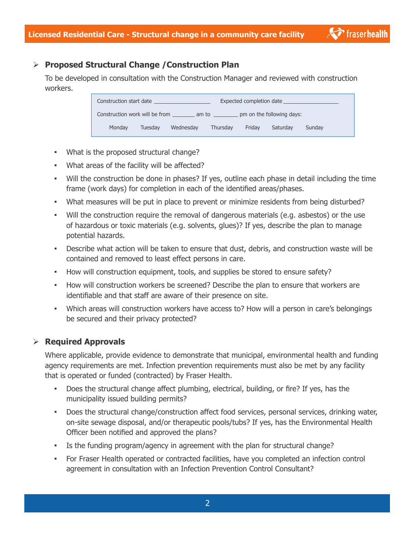# ¾ **Proposed Structural Change /Construction Plan**

To be developed in consultation with the Construction Manager and reviewed with construction workers.

| Expected completion date<br>Construction start date ____________________ |         |           |          |        |          |        |
|--------------------------------------------------------------------------|---------|-----------|----------|--------|----------|--------|
| Construction work will be from am to<br>pm on the following days:        |         |           |          |        |          |        |
| Monday                                                                   | Tuesdav | Wednesday | Thursdav | Fridav | Saturday | Sunday |

- **▪** What is the proposed structural change?
- **▪** What areas of the facility will be affected?
- **▪** Will the construction be done in phases? If yes, outline each phase in detail including the time frame (work days) for completion in each of the identified areas/phases.
- What measures will be put in place to prevent or minimize residents from being disturbed?
- **▪** Will the construction require the removal of dangerous materials (e.g. asbestos) or the use of hazardous or toxic materials (e.g. solvents, glues)? If yes, describe the plan to manage potential hazards.
- Describe what action will be taken to ensure that dust, debris, and construction waste will be contained and removed to least effect persons in care.
- **▪** How will construction equipment, tools, and supplies be stored to ensure safety?
- **▪** How will construction workers be screened? Describe the plan to ensure that workers are identifiable and that staff are aware of their presence on site.
- **▪** Which areas will construction workers have access to? How will a person in care's belongings be secured and their privacy protected?

# ¾ **Required Approvals**

Where applicable, provide evidence to demonstrate that municipal, environmental health and funding agency requirements are met. Infection prevention requirements must also be met by any facility that is operated or funded (contracted) by Fraser Health.

- Does the structural change affect plumbing, electrical, building, or fire? If yes, has the municipality issued building permits?
- **•** Does the structural change/construction affect food services, personal services, drinking water, on-site sewage disposal, and/or therapeutic pools/tubs? If yes, has the Environmental Health Officer been notified and approved the plans?
- **▪** Is the funding program/agency in agreement with the plan for structural change?
- **▪** For Fraser Health operated or contracted facilities, have you completed an infection control agreement in consultation with an Infection Prevention Control Consultant?